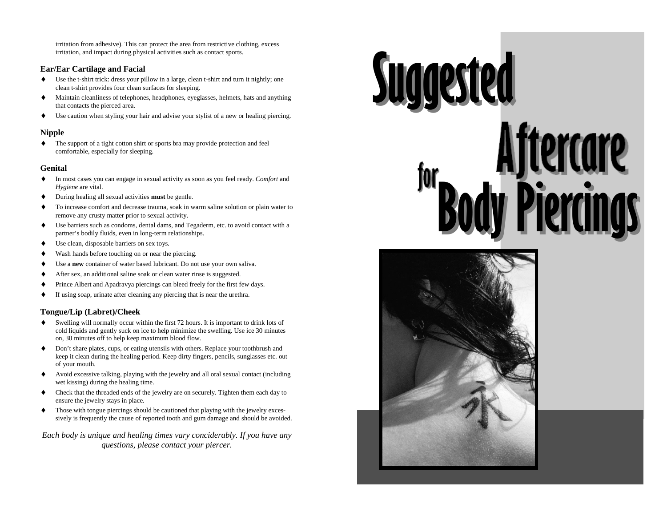irritation from adhesive). This can protect the area from restrictive clothing, excess irritation, and impact during physical activities such as contact sports.

## **Ear/Ear Cartilage and Facial**

- ♦ Use the t-shirt trick: dress your pillow in a large, clean t-shirt and turn it nightly; one clean t-shirt provides four clean surfaces for sleeping.
- ♦ Maintain cleanliness of telephones, headphones, eyeglasses, helmets, hats and anything that contacts the pierced area.
- ♦Use caution when styling your hair and advise your stylist of a new or healing piercing.

## **Nipple**

♦ The support of a tight cotton shirt or sports bra may provide protection and feel comfortable, especially for sleeping.

## **Genital**

- ♦ In most cases you can engage in sexual activity as soon as you feel ready. *Comfort* and *Hygiene* are vital.
- ♦During healing all sexual activities **must** be gentle.
- ♦ To increase comfort and decrease trauma, soak in warm saline solution or plain water to remove any crusty matter prior to sexual activity.
- ♦ Use barriers such as condoms, dental dams, and Tegaderm, etc. to avoid contact with a partner's bodily fluids, even in long-term relationships.
- ♦Use clean, disposable barriers on sex toys.
- ♦Wash hands before touching on or near the piercing.
- ♦Use a **new** container of water based lubricant. Do not use your own saliva.
- ♦After sex, an additional saline soak or clean water rinse is suggested.
- ♦Prince Albert and Apadravya piercings can bleed freely for the first few days.
- ♦If using soap, urinate after cleaning any piercing that is near the urethra.

# **Tongue/Lip (Labret)/Cheek**

- ♦ Swelling will normally occur within the first 72 hours. It is important to drink lots of cold liquids and gently suck on ice to help minimize the swelling. Use ice 30 minutes on, 30 minutes off to help keep maximum blood flow.
- ♦ Don't share plates, cups, or eating utensils with others. Replace your toothbrush and keep it clean during the healing period. Keep dirty fingers, pencils, sunglasses etc. out of your mouth.
- ♦ Avoid excessive talking, playing with the jewelry and all oral sexual contact (including wet kissing) during the healing time.
- ♦ Check that the threaded ends of the jewelry are on securely. Tighten them each day to ensure the jewelry stays in place.
- ♦ Those with tongue piercings should be cautioned that playing with the jewelry excessively is frequently the cause of reported tooth and gum damage and should be avoided.

*Each body is unique and healing times vary conciderably. If you have any questions, please contact your piercer.*